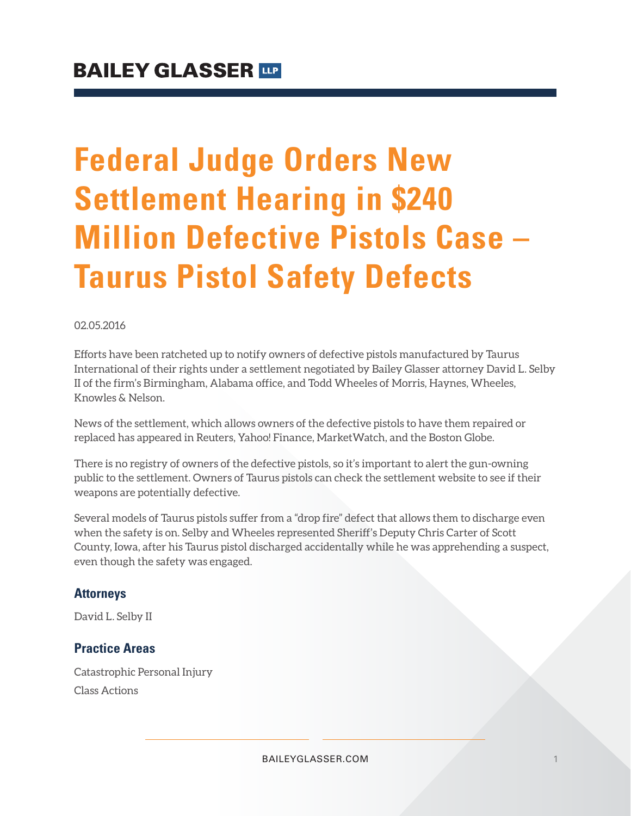# **Federal Judge Orders New Settlement Hearing in \$240 Million Defective Pistols Case – Taurus Pistol Safety Defects**

#### 02.05.2016

Efforts have been ratcheted up to notify owners of defective pistols manufactured by Taurus International of their rights under a settlement negotiated by Bailey Glasser attorney David L. Selby II of the firm's Birmingham, Alabama office, and Todd Wheeles of Morris, Haynes, Wheeles, Knowles & Nelson.

News of the settlement, which allows owners of the defective pistols to have them repaired or replaced has appeared in Reuters, Yahoo! Finance, MarketWatch, and the Boston Globe.

There is no registry of owners of the defective pistols, so it's important to alert the gun-owning public to the settlement. Owners of Taurus pistols can check the settlement website to see if their weapons are potentially defective.

Several models of Taurus pistols suffer from a "drop fire" defect that allows them to discharge even when the safety is on. Selby and Wheeles represented Sheriff's Deputy Chris Carter of Scott County, Iowa, after his Taurus pistol discharged accidentally while he was apprehending a suspect, even though the safety was engaged.

#### **Attorneys**

David L. Selby II

### **Practice Areas**

Catastrophic Personal Injury Class Actions